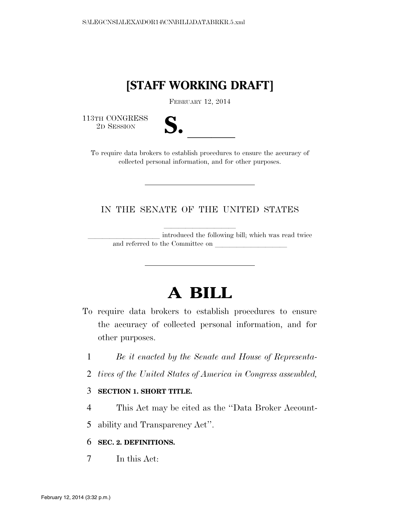# **[STAFF WORKING DRAFT]**

FEBRUARY 12, 2014

113TH CONGRESS<br>2D SESSION

| ٠           |  |
|-------------|--|
|             |  |
| I<br>N<br>Ω |  |

3TH CONGRESS<br>
2D SESSION<br>
To require data brokers to establish procedures to ensure the accuracy of collected personal information, and for other purposes.

## IN THE SENATE OF THE UNITED STATES

introduced the following bill; which was read twice and referred to the Committee on

# **A BILL**

- To require data brokers to establish procedures to ensure the accuracy of collected personal information, and for other purposes.
	- 1 *Be it enacted by the Senate and House of Representa-*
- 2 *tives of the United States of America in Congress assembled,*
- 3 **SECTION 1. SHORT TITLE.**
- 4 This Act may be cited as the ''Data Broker Account-

5 ability and Transparency Act''.

6 **SEC. 2. DEFINITIONS.** 

7 In this Act: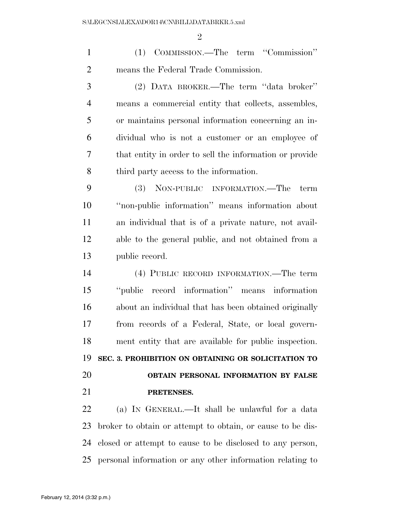$\mathfrak{D}$ 

 (1) COMMISSION.—The term ''Commission'' means the Federal Trade Commission.

 (2) DATA BROKER.—The term ''data broker'' means a commercial entity that collects, assembles, or maintains personal information concerning an in- dividual who is not a customer or an employee of that entity in order to sell the information or provide third party access to the information.

 (3) NON-PUBLIC INFORMATION.—The term ''non-public information'' means information about an individual that is of a private nature, not avail- able to the general public, and not obtained from a public record.

 (4) PUBLIC RECORD INFORMATION.—The term ''public record information'' means information about an individual that has been obtained originally from records of a Federal, State, or local govern- ment entity that are available for public inspection. **SEC. 3. PROHIBITION ON OBTAINING OR SOLICITATION TO OBTAIN PERSONAL INFORMATION BY FALSE PRETENSES.** 

 (a) IN GENERAL.—It shall be unlawful for a data broker to obtain or attempt to obtain, or cause to be dis- closed or attempt to cause to be disclosed to any person, personal information or any other information relating to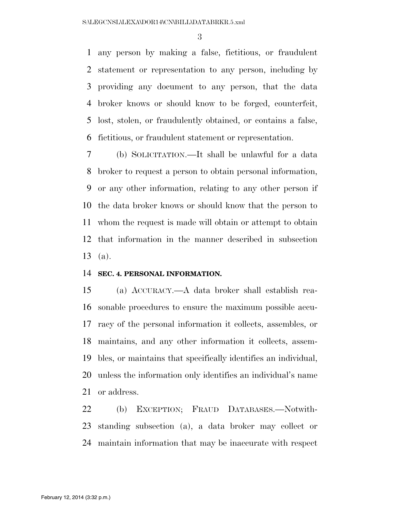any person by making a false, fictitious, or fraudulent statement or representation to any person, including by providing any document to any person, that the data broker knows or should know to be forged, counterfeit, lost, stolen, or fraudulently obtained, or contains a false, fictitious, or fraudulent statement or representation.

 (b) SOLICITATION.—It shall be unlawful for a data broker to request a person to obtain personal information, or any other information, relating to any other person if the data broker knows or should know that the person to whom the request is made will obtain or attempt to obtain that information in the manner described in subsection (a).

#### **SEC. 4. PERSONAL INFORMATION.**

 (a) ACCURACY.—A data broker shall establish rea- sonable procedures to ensure the maximum possible accu- racy of the personal information it collects, assembles, or maintains, and any other information it collects, assem- bles, or maintains that specifically identifies an individual, unless the information only identifies an individual's name or address.

 (b) EXCEPTION; FRAUD DATABASES.—Notwith- standing subsection (a), a data broker may collect or maintain information that may be inaccurate with respect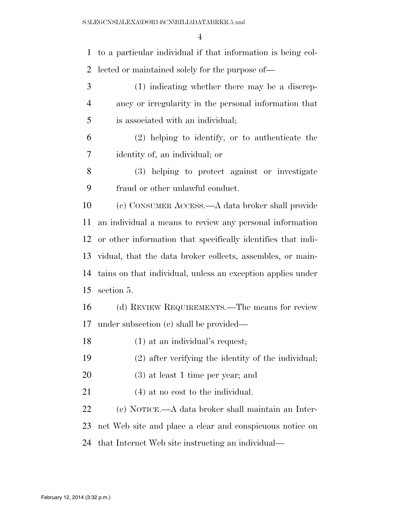to a particular individual if that information is being col- lected or maintained solely for the purpose of— (1) indicating whether there may be a discrep- ancy or irregularity in the personal information that is associated with an individual; (2) helping to identify, or to authenticate the identity of, an individual; or (3) helping to protect against or investigate fraud or other unlawful conduct. (c) CONSUMER ACCESS.—A data broker shall provide an individual a means to review any personal information or other information that specifically identifies that indi- vidual, that the data broker collects, assembles, or main- tains on that individual, unless an exception applies under section 5. (d) REVIEW REQUIREMENTS.—The means for review under subsection (c) shall be provided— (1) at an individual's request; (2) after verifying the identity of the individual; (3) at least 1 time per year; and 21 (4) at no cost to the individual. (e) NOTICE.—A data broker shall maintain an Inter- net Web site and place a clear and conspicuous notice on that Internet Web site instructing an individual—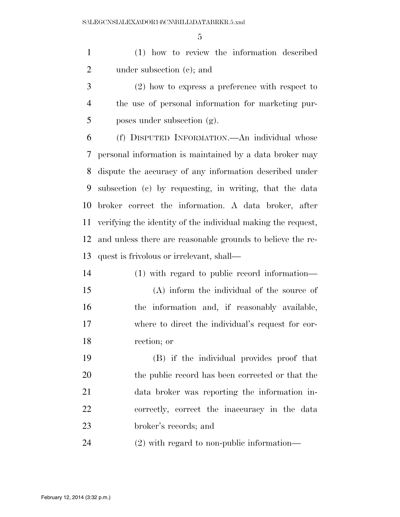(1) how to review the information described under subsection (c); and

 (2) how to express a preference with respect to the use of personal information for marketing pur-poses under subsection  $(g)$ .

 (f) DISPUTED INFORMATION.—An individual whose personal information is maintained by a data broker may dispute the accuracy of any information described under subsection (c) by requesting, in writing, that the data broker correct the information. A data broker, after verifying the identity of the individual making the request, and unless there are reasonable grounds to believe the re-quest is frivolous or irrelevant, shall—

 (1) with regard to public record information— (A) inform the individual of the source of the information and, if reasonably available, where to direct the individual's request for cor-rection; or

 (B) if the individual provides proof that the public record has been corrected or that the data broker was reporting the information in- correctly, correct the inaccuracy in the data broker's records; and

(2) with regard to non-public information—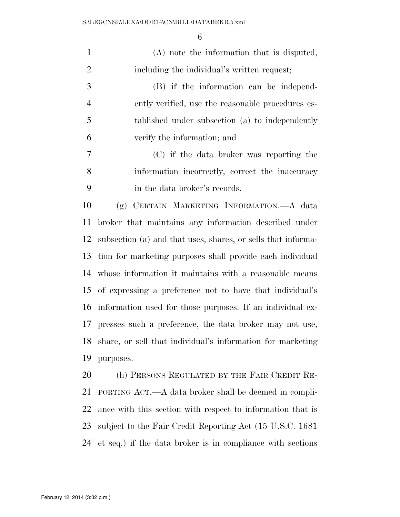| $\mathbf{1}$   | (A) note the information that is disputed,                   |
|----------------|--------------------------------------------------------------|
| $\overline{2}$ | including the individual's written request;                  |
| 3              | (B) if the information can be independ-                      |
| $\overline{4}$ | ently verified, use the reasonable procedures es-            |
| 5              | tablished under subsection (a) to independently              |
| 6              | verify the information; and                                  |
| 7              | (C) if the data broker was reporting the                     |
| 8              | information incorrectly, correct the inaccuracy              |
| 9              | in the data broker's records.                                |
| 10             | (g) CERTAIN MARKETING INFORMATION.—A data                    |
| 11             | broker that maintains any information described under        |
| 12             | subsection (a) and that uses, shares, or sells that informa- |
| 13             | tion for marketing purposes shall provide each individual    |
| 14             | whose information it maintains with a reasonable means       |
| 15             | of expressing a preference not to have that individual's     |
| 16             | information used for those purposes. If an individual ex-    |
| 17             | presses such a preference, the data broker may not use,      |
| 18             | share, or sell that individual's information for marketing   |
| 19             | purposes.                                                    |
| 20             | (h) PERSONS REGULATED BY THE FAIR CREDIT RE-                 |
| 21             | PORTING ACT.—A data broker shall be deemed in compli-        |
| 22             | ance with this section with respect to information that is   |
| 23             | subject to the Fair Credit Reporting Act (15 U.S.C. 1681)    |
| 24             | et seq.) if the data broker is in compliance with sections   |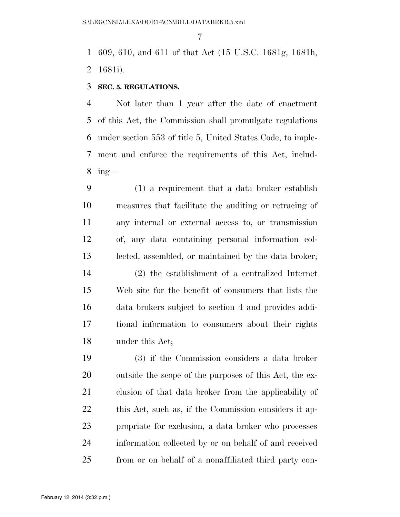609, 610, and 611 of that Act (15 U.S.C. 1681g, 1681h, 1681i).

#### **SEC. 5. REGULATIONS.**

 Not later than 1 year after the date of enactment of this Act, the Commission shall promulgate regulations under section 553 of title 5, United States Code, to imple- ment and enforce the requirements of this Act, includ-ing—

 (1) a requirement that a data broker establish measures that facilitate the auditing or retracing of any internal or external access to, or transmission of, any data containing personal information col- lected, assembled, or maintained by the data broker; (2) the establishment of a centralized Internet Web site for the benefit of consumers that lists the data brokers subject to section 4 and provides addi- tional information to consumers about their rights under this Act;

 (3) if the Commission considers a data broker outside the scope of the purposes of this Act, the ex- clusion of that data broker from the applicability of 22 this Act, such as, if the Commission considers it ap- propriate for exclusion, a data broker who processes information collected by or on behalf of and received from or on behalf of a nonaffiliated third party con-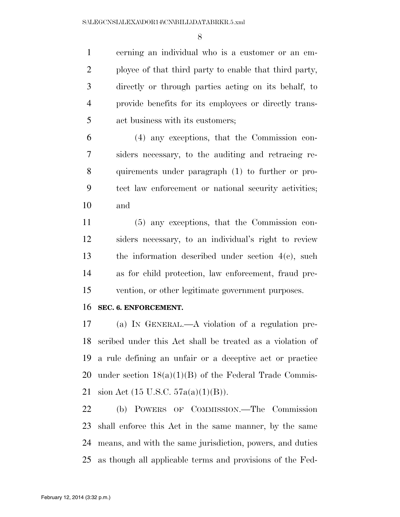cerning an individual who is a customer or an em- ployee of that third party to enable that third party, directly or through parties acting on its behalf, to provide benefits for its employees or directly trans-act business with its customers;

 (4) any exceptions, that the Commission con- siders necessary, to the auditing and retracing re- quirements under paragraph (1) to further or pro- tect law enforcement or national security activities; and

 (5) any exceptions, that the Commission con- siders necessary, to an individual's right to review the information described under section 4(c), such as for child protection, law enforcement, fraud pre-vention, or other legitimate government purposes.

#### **SEC. 6. ENFORCEMENT.**

 (a) IN GENERAL.—A violation of a regulation pre- scribed under this Act shall be treated as a violation of a rule defining an unfair or a deceptive act or practice 20 under section  $18(a)(1)(B)$  of the Federal Trade Commis-sion Act (15 U.S.C. 57a(a)(1)(B)).

 (b) POWERS OF COMMISSION.—The Commission shall enforce this Act in the same manner, by the same means, and with the same jurisdiction, powers, and duties as though all applicable terms and provisions of the Fed-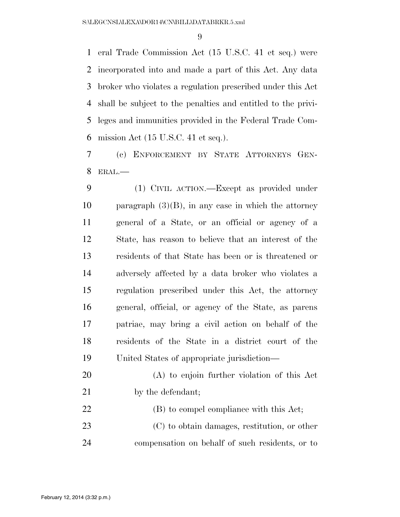eral Trade Commission Act (15 U.S.C. 41 et seq.) were incorporated into and made a part of this Act. Any data broker who violates a regulation prescribed under this Act shall be subject to the penalties and entitled to the privi- leges and immunities provided in the Federal Trade Com-mission Act (15 U.S.C. 41 et seq.).

 (c) ENFORCEMENT BY STATE ATTORNEYS GEN-ERAL.—

 (1) CIVIL ACTION.—Except as provided under 10 paragraph  $(3)(B)$ , in any case in which the attorney general of a State, or an official or agency of a State, has reason to believe that an interest of the residents of that State has been or is threatened or adversely affected by a data broker who violates a regulation prescribed under this Act, the attorney general, official, or agency of the State, as parens patriae, may bring a civil action on behalf of the residents of the State in a district court of the United States of appropriate jurisdiction—

- (A) to enjoin further violation of this Act 21 by the defendant;
- (B) to compel compliance with this Act;
- (C) to obtain damages, restitution, or other compensation on behalf of such residents, or to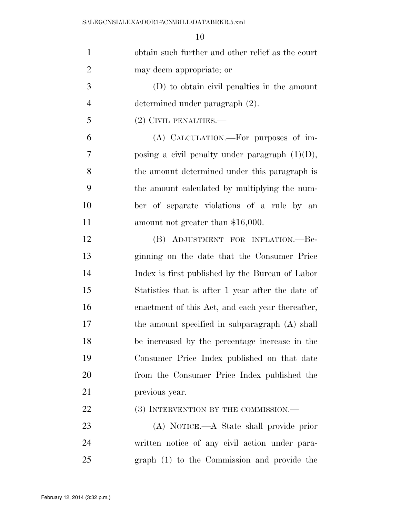| $\mathbf{1}$   | obtain such further and other relief as the court |
|----------------|---------------------------------------------------|
| $\overline{2}$ | may deem appropriate; or                          |
| 3              | (D) to obtain civil penalties in the amount       |
| $\overline{4}$ | determined under paragraph (2).                   |
| 5              | (2) CIVIL PENALTIES.-                             |
| 6              | (A) CALCULATION.—For purposes of im-              |
| 7              | posing a civil penalty under paragraph $(1)(D)$ , |
| 8              | the amount determined under this paragraph is     |
| 9              | the amount calculated by multiplying the num-     |
| 10             | ber of separate violations of a rule by an        |
| 11             | amount not greater than \$16,000.                 |
| 12             | (B) ADJUSTMENT FOR INFLATION.--Be-                |
| 13             | ginning on the date that the Consumer Price       |
| 14             | Index is first published by the Bureau of Labor   |
| 15             | Statistics that is after 1 year after the date of |
| 16             | enactment of this Act, and each year thereafter,  |
| 17             | the amount specified in subparagraph (A) shall    |
| 18             | be increased by the percentage increase in the    |
| 19             | Consumer Price Index published on that date       |
| 20             | from the Consumer Price Index published the       |
| 21             | previous year.                                    |
| 22             | (3) INTERVENTION BY THE COMMISSION.—              |
| 23             | (A) NOTICE.—A State shall provide prior           |
| 24             | written notice of any civil action under para-    |
| 25             | graph (1) to the Commission and provide the       |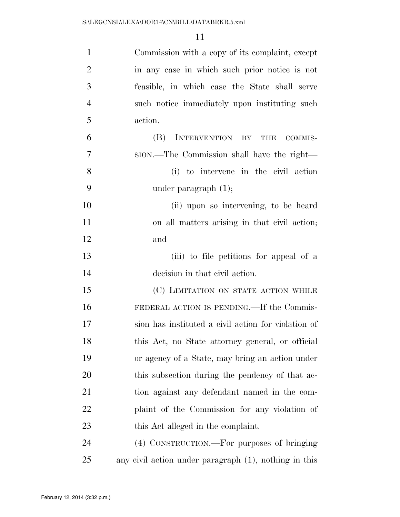| $\mathbf{1}$   | Commission with a copy of its complaint, except       |
|----------------|-------------------------------------------------------|
| $\overline{2}$ | in any case in which such prior notice is not         |
| 3              | feasible, in which case the State shall serve         |
| $\overline{4}$ | such notice immediately upon instituting such         |
| 5              | action.                                               |
| 6              | INTERVENTION BY<br>(B)<br>COMMIS-<br>THE              |
| $\overline{7}$ | ston.—The Commission shall have the right—            |
| 8              | (i) to intervene in the civil action                  |
| 9              | under paragraph $(1)$ ;                               |
| 10             | (ii) upon so intervening, to be heard                 |
| 11             | on all matters arising in that civil action;          |
| 12             | and                                                   |
| 13             | (iii) to file petitions for appeal of a               |
| 14             | decision in that civil action.                        |
| 15             | (C) LIMITATION ON STATE ACTION WHILE                  |
| 16             | FEDERAL ACTION IS PENDING.—If the Commis-             |
| 17             | sion has instituted a civil action for violation of   |
| 18             | this Act, no State attorney general, or official      |
| 19             | or agency of a State, may bring an action under       |
| 20             | this subsection during the pendency of that ac-       |
| 21             | tion against any defendant named in the com-          |
| 22             | plaint of the Commission for any violation of         |
| 23             | this Act alleged in the complaint.                    |
| 24             | (4) CONSTRUCTION.—For purposes of bringing            |
| 25             | any civil action under paragraph (1), nothing in this |